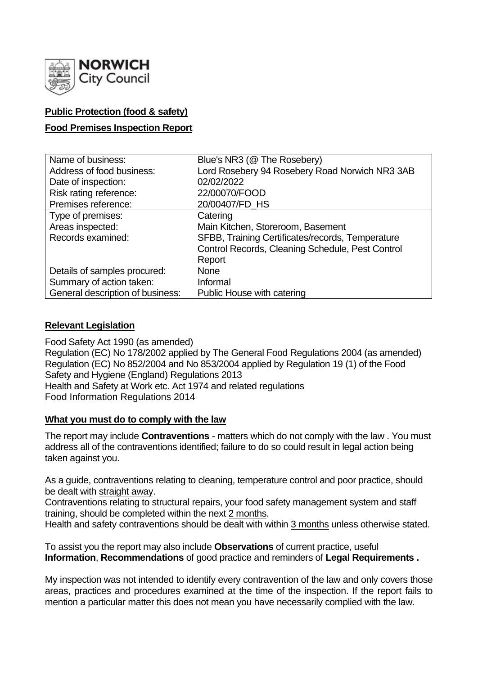

# **Public Protection (food & safety)**

## **Food Premises Inspection Report**

| Name of business:                | Blue's NR3 (@ The Rosebery)                      |
|----------------------------------|--------------------------------------------------|
| Address of food business:        | Lord Rosebery 94 Rosebery Road Norwich NR3 3AB   |
| Date of inspection:              | 02/02/2022                                       |
| Risk rating reference:           | 22/00070/FOOD                                    |
| Premises reference:              | 20/00407/FD_HS                                   |
| Type of premises:                | Catering                                         |
| Areas inspected:                 | Main Kitchen, Storeroom, Basement                |
| Records examined:                | SFBB, Training Certificates/records, Temperature |
|                                  | Control Records, Cleaning Schedule, Pest Control |
|                                  | Report                                           |
| Details of samples procured:     | <b>None</b>                                      |
| Summary of action taken:         | Informal                                         |
| General description of business: | Public House with catering                       |

## **Relevant Legislation**

Food Safety Act 1990 (as amended) Regulation (EC) No 178/2002 applied by The General Food Regulations 2004 (as amended) Regulation (EC) No 852/2004 and No 853/2004 applied by Regulation 19 (1) of the Food Safety and Hygiene (England) Regulations 2013 Health and Safety at Work etc. Act 1974 and related regulations Food Information Regulations 2014

### **What you must do to comply with the law**

The report may include **Contraventions** - matters which do not comply with the law . You must address all of the contraventions identified; failure to do so could result in legal action being taken against you.

As a guide, contraventions relating to cleaning, temperature control and poor practice, should be dealt with straight away.

Contraventions relating to structural repairs, your food safety management system and staff training, should be completed within the next 2 months.

Health and safety contraventions should be dealt with within 3 months unless otherwise stated.

To assist you the report may also include **Observations** of current practice, useful **Information**, **Recommendations** of good practice and reminders of **Legal Requirements .**

My inspection was not intended to identify every contravention of the law and only covers those areas, practices and procedures examined at the time of the inspection. If the report fails to mention a particular matter this does not mean you have necessarily complied with the law.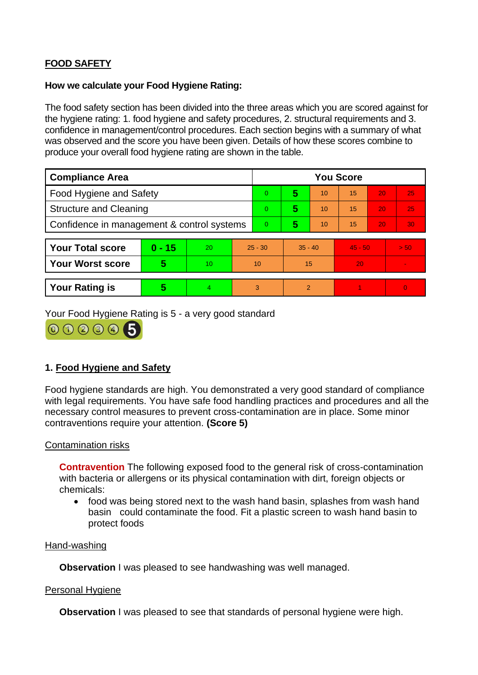# **FOOD SAFETY**

#### **How we calculate your Food Hygiene Rating:**

The food safety section has been divided into the three areas which you are scored against for the hygiene rating: 1. food hygiene and safety procedures, 2. structural requirements and 3. confidence in management/control procedures. Each section begins with a summary of what was observed and the score you have been given. Details of how these scores combine to produce your overall food hygiene rating are shown in the table.

| <b>Compliance Area</b>                     |          |    |           | <b>You Score</b> |           |    |           |    |                |  |  |
|--------------------------------------------|----------|----|-----------|------------------|-----------|----|-----------|----|----------------|--|--|
| Food Hygiene and Safety                    |          |    |           | 0                | 5         | 10 | 15        | 20 | 25             |  |  |
| <b>Structure and Cleaning</b>              |          |    | 0         | 5                | 10        | 15 | 20        | 25 |                |  |  |
| Confidence in management & control systems |          |    | 0         | 5                | 10        | 15 | 20        | 30 |                |  |  |
|                                            |          |    |           |                  |           |    |           |    |                |  |  |
| <b>Your Total score</b>                    | $0 - 15$ | 20 | $25 - 30$ |                  | $35 - 40$ |    | $45 - 50$ |    | > 50           |  |  |
| <b>Your Worst score</b>                    | 5        | 10 | 10        |                  | 15        |    | 20        |    |                |  |  |
|                                            |          |    |           |                  |           |    |           |    |                |  |  |
| <b>Your Rating is</b>                      | 5        | 4  |           | 3                | 2         |    |           |    | $\overline{0}$ |  |  |

Your Food Hygiene Rating is 5 - a very good standard



## **1. Food Hygiene and Safety**

Food hygiene standards are high. You demonstrated a very good standard of compliance with legal requirements. You have safe food handling practices and procedures and all the necessary control measures to prevent cross-contamination are in place. Some minor contraventions require your attention. **(Score 5)**

### Contamination risks

**Contravention** The following exposed food to the general risk of cross-contamination with bacteria or allergens or its physical contamination with dirt, foreign objects or chemicals:

• food was being stored next to the wash hand basin, splashes from wash hand basin could contaminate the food. Fit a plastic screen to wash hand basin to protect foods

#### Hand-washing

**Observation** I was pleased to see handwashing was well managed.

### Personal Hygiene

**Observation** I was pleased to see that standards of personal hygiene were high.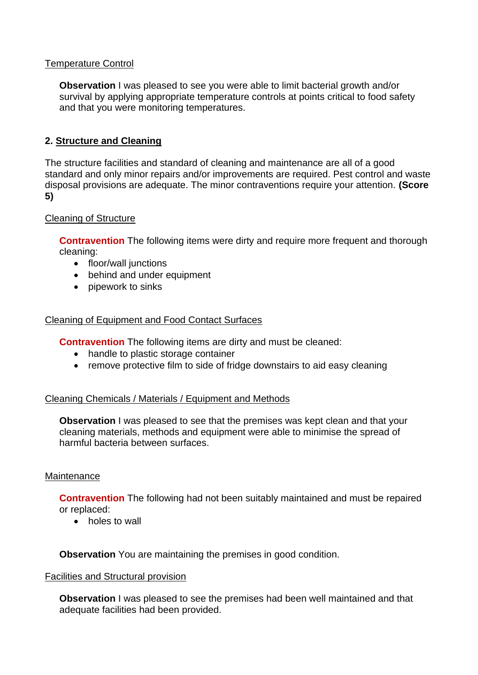## Temperature Control

**Observation** I was pleased to see you were able to limit bacterial growth and/or survival by applying appropriate temperature controls at points critical to food safety and that you were monitoring temperatures.

## **2. Structure and Cleaning**

The structure facilities and standard of cleaning and maintenance are all of a good standard and only minor repairs and/or improvements are required. Pest control and waste disposal provisions are adequate. The minor contraventions require your attention. **(Score 5)**

### Cleaning of Structure

**Contravention** The following items were dirty and require more frequent and thorough cleaning:

- floor/wall junctions
- behind and under equipment
- pipework to sinks

### Cleaning of Equipment and Food Contact Surfaces

**Contravention** The following items are dirty and must be cleaned:

- handle to plastic storage container
- remove protective film to side of fridge downstairs to aid easy cleaning

#### Cleaning Chemicals / Materials / Equipment and Methods

**Observation** I was pleased to see that the premises was kept clean and that your cleaning materials, methods and equipment were able to minimise the spread of harmful bacteria between surfaces.

#### Maintenance

**Contravention** The following had not been suitably maintained and must be repaired or replaced:

• holes to wall

**Observation** You are maintaining the premises in good condition.

#### Facilities and Structural provision

**Observation** I was pleased to see the premises had been well maintained and that adequate facilities had been provided.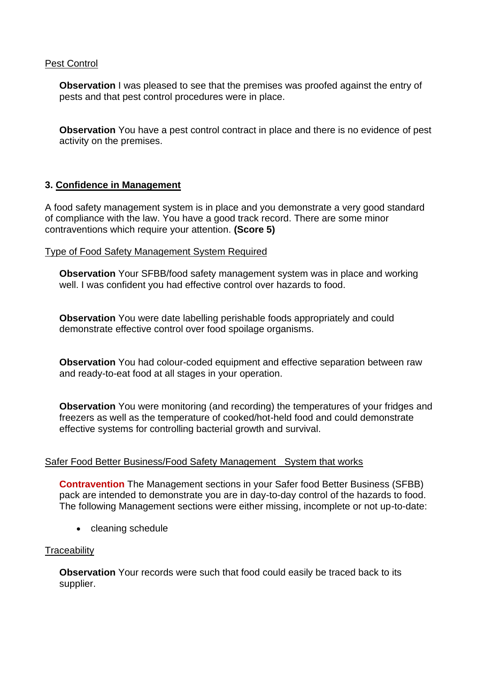### Pest Control

**Observation** I was pleased to see that the premises was proofed against the entry of pests and that pest control procedures were in place.

**Observation** You have a pest control contract in place and there is no evidence of pest activity on the premises.

## **3. Confidence in Management**

A food safety management system is in place and you demonstrate a very good standard of compliance with the law. You have a good track record. There are some minor contraventions which require your attention. **(Score 5)**

#### Type of Food Safety Management System Required

**Observation** Your SFBB/food safety management system was in place and working well. I was confident you had effective control over hazards to food.

**Observation** You were date labelling perishable foods appropriately and could demonstrate effective control over food spoilage organisms.

**Observation** You had colour-coded equipment and effective separation between raw and ready-to-eat food at all stages in your operation.

**Observation** You were monitoring (and recording) the temperatures of your fridges and freezers as well as the temperature of cooked/hot-held food and could demonstrate effective systems for controlling bacterial growth and survival.

### Safer Food Better Business/Food Safety Management System that works

**Contravention** The Management sections in your Safer food Better Business (SFBB) pack are intended to demonstrate you are in day-to-day control of the hazards to food. The following Management sections were either missing, incomplete or not up-to-date:

• cleaning schedule

### **Traceability**

**Observation** Your records were such that food could easily be traced back to its supplier.